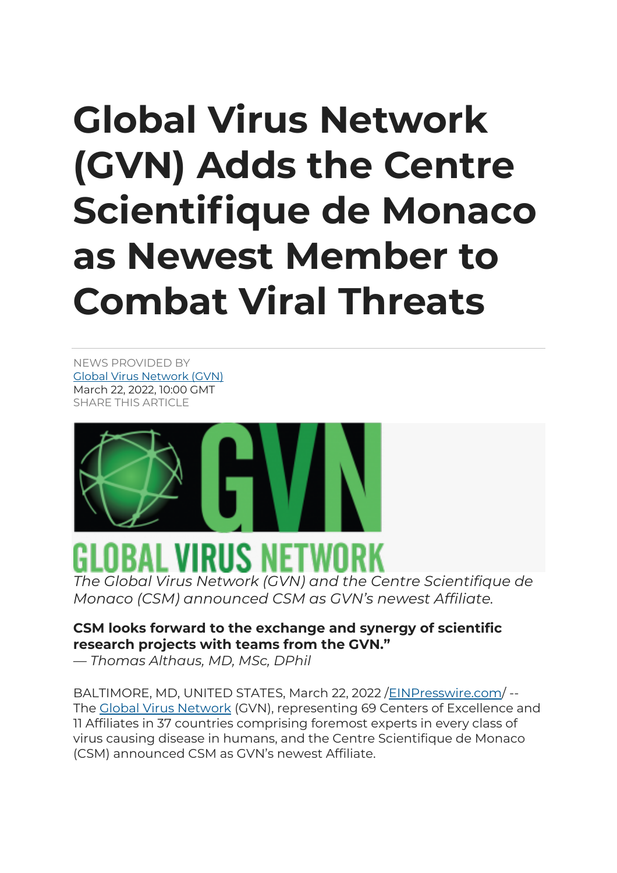## **Global Virus Network (GVN) Adds the Centre Scientifique de Monaco as Newest Member to Combat Viral Threats**

NEWS PROVIDED BY Global Virus Network (GVN) March 22, 2022, 10:00 GMT SHARE THIS ARTICLE



## OBAL VIRUS NETWO.

*The Global Virus Network (GVN) and the Centre Scientifique de Monaco (CSM) announced CSM as GVN's newest Affiliate.*

## **CSM looks forward to the exchange and synergy of scientific research projects with teams from the GVN."**

*— Thomas Althaus, MD, MSc, DPhil*

BALTIMORE, MD, UNITED STATES, March 22, 2022 /EINPresswire.com/ -- The Global Virus Network (GVN), representing 69 Centers of Excellence and 11 Affiliates in 37 countries comprising foremost experts in every class of virus causing disease in humans, and the Centre Scientifique de Monaco (CSM) announced CSM as GVN's newest Affiliate.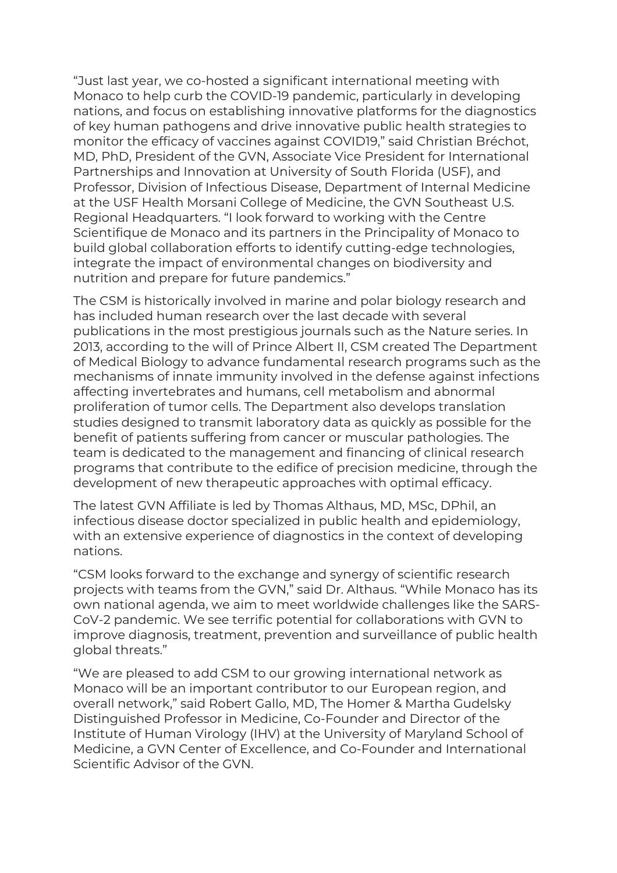"Just last year, we co-hosted a significant international meeting with Monaco to help curb the COVID-19 pandemic, particularly in developing nations, and focus on establishing innovative platforms for the diagnostics of key human pathogens and drive innovative public health strategies to monitor the efficacy of vaccines against COVID19," said Christian Bréchot, MD, PhD, President of the GVN, Associate Vice President for International Partnerships and Innovation at University of South Florida (USF), and Professor, Division of Infectious Disease, Department of Internal Medicine at the USF Health Morsani College of Medicine, the GVN Southeast U.S. Regional Headquarters. "I look forward to working with the Centre Scientifique de Monaco and its partners in the Principality of Monaco to build global collaboration efforts to identify cutting-edge technologies, integrate the impact of environmental changes on biodiversity and nutrition and prepare for future pandemics."

The CSM is historically involved in marine and polar biology research and has included human research over the last decade with several publications in the most prestigious journals such as the Nature series. In 2013, according to the will of Prince Albert II, CSM created The Department of Medical Biology to advance fundamental research programs such as the mechanisms of innate immunity involved in the defense against infections affecting invertebrates and humans, cell metabolism and abnormal proliferation of tumor cells. The Department also develops translation studies designed to transmit laboratory data as quickly as possible for the benefit of patients suffering from cancer or muscular pathologies. The team is dedicated to the management and financing of clinical research programs that contribute to the edifice of precision medicine, through the development of new therapeutic approaches with optimal efficacy.

The latest GVN Affiliate is led by Thomas Althaus, MD, MSc, DPhil, an infectious disease doctor specialized in public health and epidemiology, with an extensive experience of diagnostics in the context of developing nations.

"CSM looks forward to the exchange and synergy of scientific research projects with teams from the GVN," said Dr. Althaus. "While Monaco has its own national agenda, we aim to meet worldwide challenges like the SARS-CoV-2 pandemic. We see terrific potential for collaborations with GVN to improve diagnosis, treatment, prevention and surveillance of public health global threats."

"We are pleased to add CSM to our growing international network as Monaco will be an important contributor to our European region, and overall network," said Robert Gallo, MD, The Homer & Martha Gudelsky Distinguished Professor in Medicine, Co-Founder and Director of the Institute of Human Virology (IHV) at the University of Maryland School of Medicine, a GVN Center of Excellence, and Co-Founder and International Scientific Advisor of the GVN.